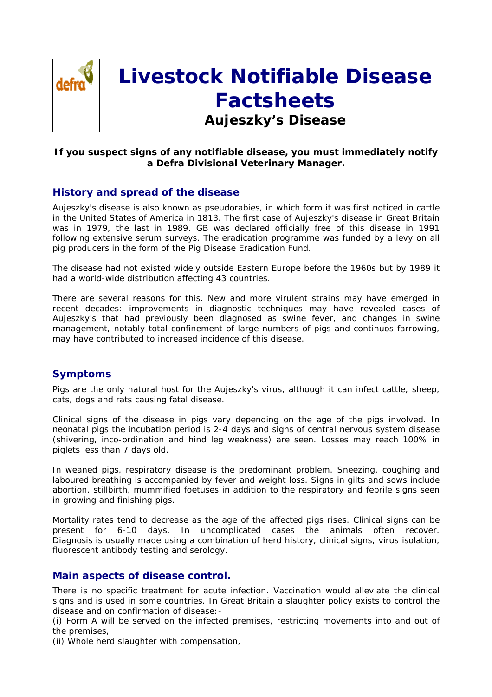

# **Livestock Notifiable Disease Factsheets**

# **Aujeszky's Disease**

## **If you suspect signs of any notifiable disease, you must immediately notify a Defra Divisional Veterinary Manager.**

# **History and spread of the disease**

Aujeszky's disease is also known as pseudorabies, in which form it was first noticed in cattle in the United States of America in 1813. The first case of Aujeszky's disease in Great Britain was in 1979, the last in 1989. GB was declared officially free of this disease in 1991 following extensive serum surveys. The eradication programme was funded by a levy on all pig producers in the form of the Pig Disease Eradication Fund.

The disease had not existed widely outside Eastern Europe before the 1960s but by 1989 it had a world-wide distribution affecting 43 countries.

There are several reasons for this. New and more virulent strains may have emerged in recent decades: improvements in diagnostic techniques may have revealed cases of Aujeszky's that had previously been diagnosed as swine fever, and changes in swine management, notably total confinement of large numbers of pigs and continuos farrowing, may have contributed to increased incidence of this disease.

### **Symptoms**

Pigs are the only natural host for the Aujeszky's virus, although it can infect cattle, sheep, cats, dogs and rats causing fatal disease.

Clinical signs of the disease in pigs vary depending on the age of the pigs involved. In neonatal pigs the incubation period is 2-4 days and signs of central nervous system disease (shivering, inco-ordination and hind leg weakness) are seen. Losses may reach 100% in piglets less than 7 days old.

In weaned pigs, respiratory disease is the predominant problem. Sneezing, coughing and laboured breathing is accompanied by fever and weight loss. Signs in gilts and sows include abortion, stillbirth, mummified foetuses in addition to the respiratory and febrile signs seen in growing and finishing pigs.

Mortality rates tend to decrease as the age of the affected pigs rises. Clinical signs can be present for 6-10 days. In uncomplicated cases the animals often recover. Diagnosis is usually made using a combination of herd history, clinical signs, virus isolation, fluorescent antibody testing and serology.

### **Main aspects of disease control.**

There is no specific treatment for acute infection. Vaccination would alleviate the clinical signs and is used in some countries. In Great Britain a slaughter policy exists to control the disease and on confirmation of disease:-

(i) Form A will be served on the infected premises, restricting movements into and out of the premises,

(ii) Whole herd slaughter with compensation,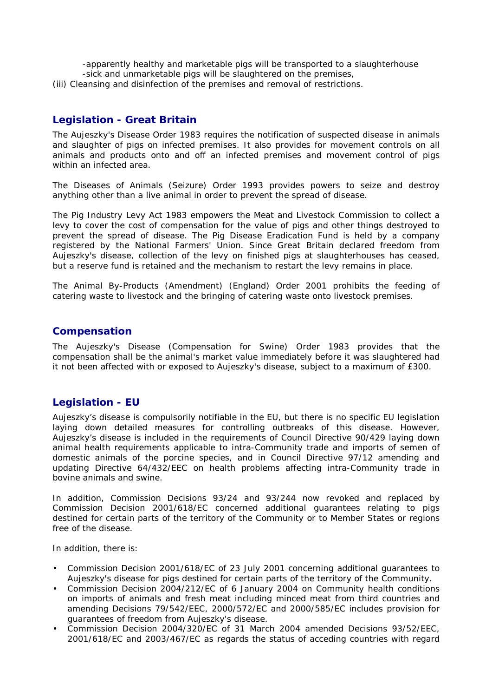- -apparently healthy and marketable pigs will be transported to a slaughterhouse -sick and unmarketable pigs will be slaughtered on the premises,
- (iii) Cleansing and disinfection of the premises and removal of restrictions.

# **Legislation - Great Britain**

The Aujeszky's Disease Order 1983 requires the notification of suspected disease in animals and slaughter of pigs on infected premises. It also provides for movement controls on all animals and products onto and off an infected premises and movement control of pigs within an infected area.

The Diseases of Animals (Seizure) Order 1993 provides powers to seize and destroy anything other than a live animal in order to prevent the spread of disease.

The Pig Industry Levy Act 1983 empowers the Meat and Livestock Commission to collect a levy to cover the cost of compensation for the value of pigs and other things destroyed to prevent the spread of disease. The Pig Disease Eradication Fund is held by a company registered by the National Farmers' Union. Since Great Britain declared freedom from Aujeszky's disease, collection of the levy on finished pigs at slaughterhouses has ceased, but a reserve fund is retained and the mechanism to restart the levy remains in place.

The Animal By-Products (Amendment) (England) Order 2001 prohibits the feeding of catering waste to livestock and the bringing of catering waste onto livestock premises.

#### **Compensation**

The Aujeszky's Disease (Compensation for Swine) Order 1983 provides that the compensation shall be the animal's market value immediately before it was slaughtered had it not been affected with or exposed to Aujeszky's disease, subject to a maximum of £300.

# **Legislation - EU**

Aujeszky's disease is compulsorily notifiable in the EU, but there is no specific EU legislation laying down detailed measures for controlling outbreaks of this disease. However, Aujeszky's disease is included in the requirements of Council Directive 90/429 laying down animal health requirements applicable to intra-Community trade and imports of semen of domestic animals of the porcine species, and in Council Directive 97/12 amending and updating Directive 64/432/EEC on health problems affecting intra-Community trade in bovine animals and swine.

In addition, Commission Decisions 93/24 and 93/244 now revoked and replaced by Commission Decision 2001/618/EC concerned additional guarantees relating to pigs destined for certain parts of the territory of the Community or to Member States or regions free of the disease.

In addition, there is:

- Commission Decision 2001/618/EC of 23 July 2001 concerning additional guarantees to Aujeszky's disease for pigs destined for certain parts of the territory of the Community.
- Commission Decision 2004/212/EC of 6 January 2004 on Community health conditions on imports of animals and fresh meat including minced meat from third countries and amending Decisions 79/542/EEC, 2000/572/EC and 2000/585/EC includes provision for guarantees of freedom from Aujeszky's disease.
- Commission Decision 2004/320/EC of 31 March 2004 amended Decisions 93/52/EEC, 2001/618/EC and 2003/467/EC as regards the status of acceding countries with regard